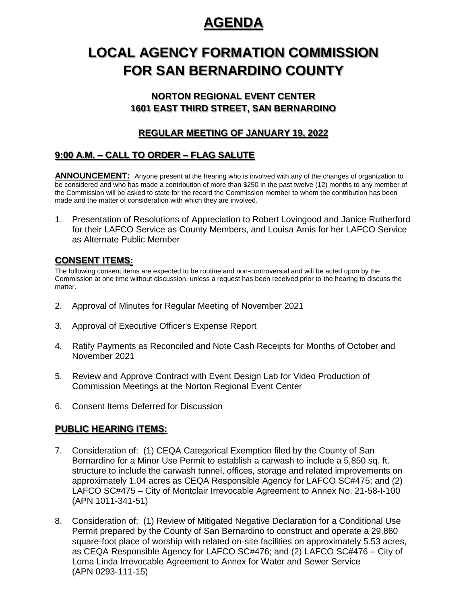# **AGENDA**

# **LOCAL AGENCY FORMATION COMMISSION FOR SAN BERNARDINO COUNTY**

## **NORTON REGIONAL EVENT CENTER 1601 EAST THIRD STREET, SAN BERNARDINO**

## **REGULAR MEETING OF JANUARY 19, 2022**

## **9:00 A.M. – CALL TO ORDER – FLAG SALUTE**

**ANNOUNCEMENT:** Anyone present at the hearing who is involved with any of the changes of organization to be considered and who has made a contribution of more than \$250 in the past twelve (12) months to any member of the Commission will be asked to state for the record the Commission member to whom the contribution has been made and the matter of consideration with which they are involved.

1. Presentation of Resolutions of Appreciation to Robert Lovingood and Janice Rutherford for their LAFCO Service as County Members, and Louisa Amis for her LAFCO Service as Alternate Public Member

### **CONSENT ITEMS:**

The following consent items are expected to be routine and non-controversial and will be acted upon by the Commission at one time without discussion, unless a request has been received prior to the hearing to discuss the matter.

- 2. Approval of Minutes for Regular Meeting of November 2021
- 3. Approval of Executive Officer's Expense Report
- 4. Ratify Payments as Reconciled and Note Cash Receipts for Months of October and November 2021
- 5. Review and Approve Contract with Event Design Lab for Video Production of Commission Meetings at the Norton Regional Event Center
- 6. Consent Items Deferred for Discussion

### **PUBLIC HEARING ITEMS:**

- 7. Consideration of: (1) CEQA Categorical Exemption filed by the County of San Bernardino for a Minor Use Permit to establish a carwash to include a 5,850 sq. ft. structure to include the carwash tunnel, offices, storage and related improvements on approximately 1.04 acres as CEQA Responsible Agency for LAFCO SC#475; and (2) LAFCO SC#475 – City of Montclair Irrevocable Agreement to Annex No. 21-58-I-100 (APN 1011-341-51)
- 8. Consideration of: (1) Review of Mitigated Negative Declaration for a Conditional Use Permit prepared by the County of San Bernardino to construct and operate a 29,860 square-foot place of worship with related on-site facilities on approximately 5.53 acres, as CEQA Responsible Agency for LAFCO SC#476; and (2) LAFCO SC#476 – City of Loma Linda Irrevocable Agreement to Annex for Water and Sewer Service (APN 0293-111-15)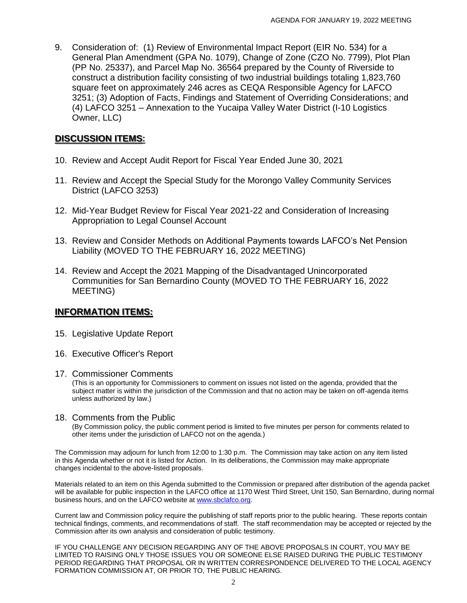9. Consideration of: (1) Review of Environmental Impact Report (EIR No. 534) for a General Plan Amendment (GPA No. 1079), Change of Zone (CZO No. 7799), Plot Plan (PP No. 25337), and Parcel Map No. 36564 prepared by the County of Riverside to construct a distribution facility consisting of two industrial buildings totaling 1,823,760 square feet on approximately 246 acres as CEQA Responsible Agency for LAFCO 3251; (3) Adoption of Facts, Findings and Statement of Overriding Considerations; and (4) LAFCO 3251 – Annexation to the Yucaipa Valley Water District (I-10 Logistics Owner, LLC)

#### **DISCUSSION ITEMS:**

- 10. Review and Accept Audit Report for Fiscal Year Ended June 30, 2021
- 11. Review and Accept the Special Study for the Morongo Valley Community Services District (LAFCO 3253)
- 12. Mid-Year Budget Review for Fiscal Year 2021-22 and Consideration of Increasing Appropriation to Legal Counsel Account
- 13. Review and Consider Methods on Additional Payments towards LAFCO's Net Pension Liability (MOVED TO THE FEBRUARY 16, 2022 MEETING)
- 14. Review and Accept the 2021 Mapping of the Disadvantaged Unincorporated Communities for San Bernardino County (MOVED TO THE FEBRUARY 16, 2022 MEETING)

#### **INFORMATION ITEMS:**

- 15. Legislative Update Report
- 16. Executive Officer's Report
- 17. Commissioner Comments

(This is an opportunity for Commissioners to comment on issues not listed on the agenda, provided that the subject matter is within the jurisdiction of the Commission and that no action may be taken on off-agenda items unless authorized by law.)

#### 18. Comments from the Public

(By Commission policy, the public comment period is limited to five minutes per person for comments related to other items under the jurisdiction of LAFCO not on the agenda.)

The Commission may adjourn for lunch from 12:00 to 1:30 p.m. The Commission may take action on any item listed in this Agenda whether or not it is listed for Action. In its deliberations, the Commission may make appropriate changes incidental to the above-listed proposals.

Materials related to an item on this Agenda submitted to the Commission or prepared after distribution of the agenda packet will be available for public inspection in the LAFCO office at 1170 West Third Street, Unit 150, San Bernardino, during normal business hours, and on the LAFCO website at [www.sbclafco.org.](http://www.sbclafco.org/)

Current law and Commission policy require the publishing of staff reports prior to the public hearing. These reports contain technical findings, comments, and recommendations of staff. The staff recommendation may be accepted or rejected by the Commission after its own analysis and consideration of public testimony.

IF YOU CHALLENGE ANY DECISION REGARDING ANY OF THE ABOVE PROPOSALS IN COURT, YOU MAY BE LIMITED TO RAISING ONLY THOSE ISSUES YOU OR SOMEONE ELSE RAISED DURING THE PUBLIC TESTIMONY PERIOD REGARDING THAT PROPOSAL OR IN WRITTEN CORRESPONDENCE DELIVERED TO THE LOCAL AGENCY FORMATION COMMISSION AT, OR PRIOR TO, THE PUBLIC HEARING.